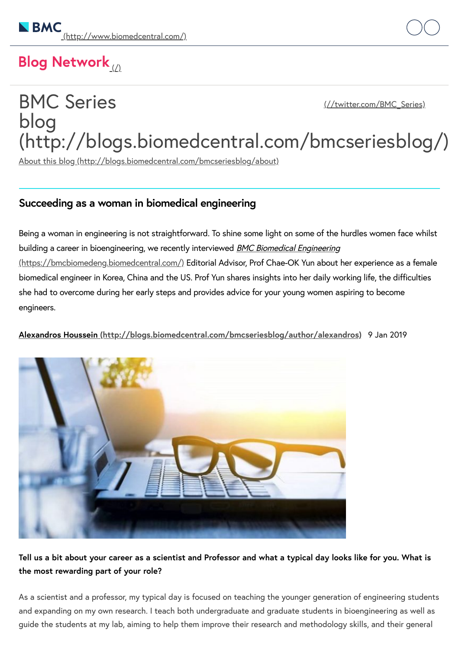# Blog Network

## BMC Series blog [\(http://blogs.biomedcentral.com/bmcseriesblog/\)](http://blogs.biomedcentral.com/bmcseriesblog/) [\(//twitter.com/BMC\\_Series\)](http://twitter.com/BMC_Series)

About this blog [\(http://blogs.biomedcentral.com/bmcseriesblog/about\)](http://blogs.biomedcentral.com/bmcseriesblog/about)

## **Succeeding as a woman in biomedical engineering**

Being a woman in engineering is not straightforward. To shine some light on some of the hurdles women face whilst building a career in bioengineering, we recently interviewed **BMC Biomedical Engineering** [\(https://bmcbiomedeng.biomedcentral.com/\)](https://bmcbiomedeng.biomedcentral.com/) Editorial Advisor, Prof Chae-OK Yun about her experience as a female biomedical engineer in Korea, China and the US. Prof Yun shares insights into her daily working life, the difficulties she had to overcome during her early steps and provides advice for your young women aspiring to become engineers.

**Alexandros Houssein [\(http://blogs.biomedcentral.com/bmcseriesblog/author/alexandros\)](http://blogs.biomedcentral.com/bmcseriesblog/author/alexandros)** 9 Jan 2019



## Tell us a bit about your career as a scientist and Professor and what a typical day looks like for you. What is **the most rewarding part of your role?**

As a scientist and a professor, my typical day is focused on teaching the younger generation of engineering students and expanding on my own research. I teach both undergraduate and graduate students in bioengineering as well as guide the students at my lab, aiming to help them improve their research and methodology skills, and their general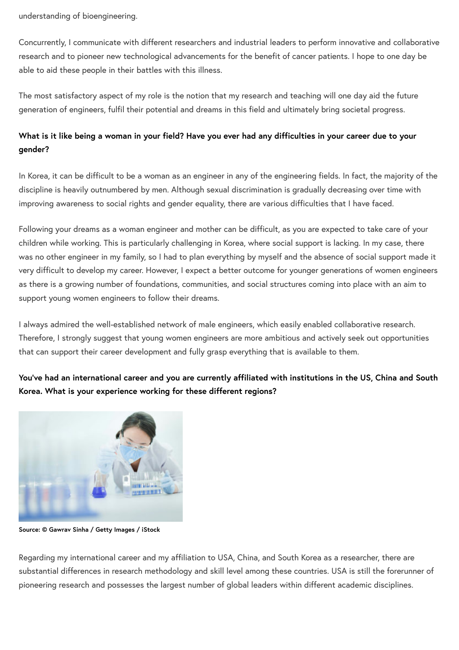understanding of bioengineering. The main biomedical engineering of  $B$  Series blog successive blog successive blog successive blog successive blog successive blog successive blog successive blog successive blog successive

Concurrently, I communicate with different researchers and industrial leaders to perform innovative and collaborative research and to pioneer new technological advancements for the benefit of cancer patients. I hope to one day be able to aid these people in their battles with this illness.

The most satisfactory aspect of my role is the notion that my research and teaching will one day aid the future generation of engineers, fulfil their potential and dreams in this field and ultimately bring societal progress.

## What is it like being a woman in your field? Have you ever had any difficulties in your career due to your **gender?**

In Korea, it can be difficult to be a woman as an engineer in any of the engineering fields. In fact, the majority of the discipline is heavily outnumbered by men. Although sexual discrimination is gradually decreasing over time with improving awareness to social rights and gender equality, there are various difficulties that I have faced.

Following your dreams as a woman engineer and mother can be difficult, as you are expected to take care of your children while working. This is particularly challenging in Korea, where social support is lacking. In my case, there was no other engineer in my family, so I had to plan everything by myself and the absence of social support made it very difficult to develop my career. However, I expect a better outcome for younger generations of women engineers as there is a growing number of foundations, communities, and social structures coming into place with an aim to support young women engineers to follow their dreams.

I always admired the well-established network of male engineers, which easily enabled collaborative research. Therefore, I strongly suggest that young women engineers are more ambitious and actively seek out opportunities that can support their career development and fully grasp everything that is available to them.

You've had an international career and you are currently affiliated with institutions in the US, China and South **Korea. What is your experience working for these different regions?**



**Source: © Gawrav Sinha / Getty Images / iStock**

Regarding my international career and my affiliation to USA, China, and South Korea as a researcher, there are substantial differences in research methodology and skill level among these countries. USA is still the forerunner of pioneering research and possesses the largest number of global leaders within different academic disciplines.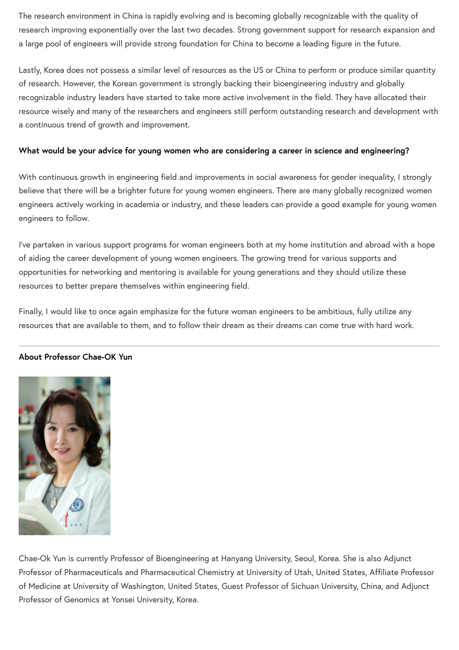The research environment in China is rapidly evolving and is becoming globally recognizable with the quality of research improving exponentially over the last two decades. Strong government support for research expansion and a large pool of engineers will provide strong foundation for China to become a leading figure in the future.

Lastly, Korea does not possess a similar level of resources as the US or China to perform or produce similar quantity of research. However, the Korean government is strongly backing their bioengineering industry and globally recognizable industry leaders have started to take more active involvement in the field. They have allocated their resource wisely and many of the researchers and engineers still perform outstanding research and development with a continuous trend of growth and improvement.

#### **What would be your advice for young women who are considering a career in science and engineering?**

With continuous growth in engineering field and improvements in social awareness for gender inequality, I strongly believe that there will be a brighter future for young women engineers. There are many globally recognized women engineers actively working in academia or industry, and these leaders can provide a good example for young women engineers to follow.

I've partaken in various support programs for woman engineers both at my home institution and abroad with a hope of aiding the career development of young women engineers. The growing trend for various supports and opportunities for networking and mentoring is available for young generations and they should utilize these resources to better prepare themselves within engineering field.

Finally, I would like to once again emphasize for the future woman engineers to be ambitious, fully utilize any resources that are available to them, and to follow their dream as their dreams can come true with hard work.



#### **About Professor Chae-OK Yun**

Chae-Ok Yun is currently Professor of Bioengineering at Hanyang University, Seoul, Korea. She is also Adjunct Professor of Pharmaceuticals and Pharmaceutical Chemistry at University of Utah, United States, Affiliate Professor of Medicine at University of Washington, United States, Guest Professor of Sichuan University, China, and Adjunct Professor of Genomics at Yonsei University, Korea.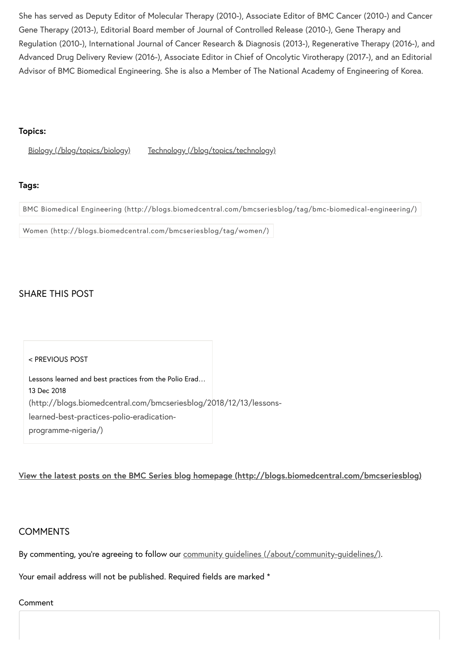She has served as Deputy Editor of Molecular Therapy (2010-), Associate Editor of BMC Cancer (2010-) and Cancer Gene Therapy (2013-), Editorial Board member of Journal of Controlled Release (2010-), Gene Therapy and Regulation (2010-), International Journal of Cancer Research & Diagnosis (2013-), Regenerative Therapy (2016-), and Advanced Drug Delivery Review (2016-), Associate Editor in Chief of Oncolytic Virotherapy (2017-), and an Editorial Advisor of BMC Biomedical Engineering. She is also a Member of The National Academy of Engineering of Korea.

#### **Topics:**

Biology [\(/blog/topics/biology\)](http://blogs.biomedcentral.com/blog/topics/biology) Technology [\(/blog/topics/technology\)](http://blogs.biomedcentral.com/blog/topics/technology)

#### **Tags:**

BMC Biomedical Engineering [\(http://blogs.biomedcentral.com/bmcseriesblog/tag/bmc-biomedical-engineering/\)](http://blogs.biomedcentral.com/bmcseriesblog/tag/bmc-biomedical-engineering/)

Women [\(http://blogs.biomedcentral.com/bmcseriesblog/tag/women/\)](http://blogs.biomedcentral.com/bmcseriesblog/tag/women/)

## SHARE THIS POST



#### **View the latest posts on the BMC Series blog homepage [\(http://blogs.biomedcentral.com/bmcseriesblog\)](http://blogs.biomedcentral.com/bmcseriesblog)**

## **COMMENTS**

By commenting, you're agreeing to follow our community quidelines (/about/community-quidelines/).

Your email address will not be published. Required fields are marked \*

#### Comment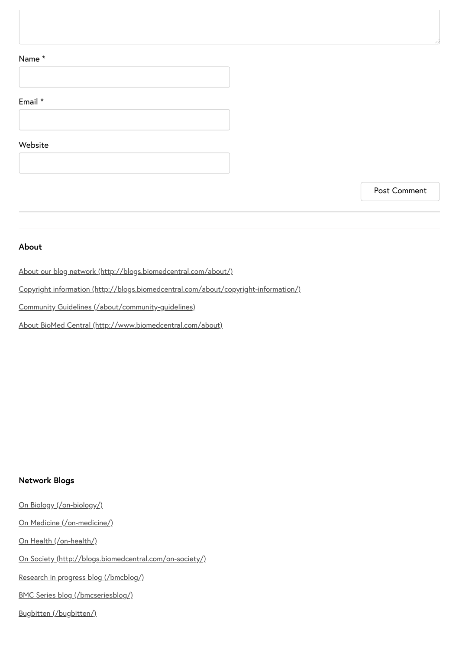#### Name \*

## Email \*



#### **Website**

Post Comment

#### **About**

About our blog network [\(http://blogs.biomedcentral.com/about/\)](http://blogs.biomedcentral.com/about/)

Copyright information [\(http://blogs.biomedcentral.com/about/copyright-information/\)](http://blogs.biomedcentral.com/about/copyright-information/)

Community Guidelines [\(/about/community-guidelines\)](http://blogs.biomedcentral.com/about/community-guidelines)

About BioMed Central [\(http://www.biomedcentral.com/about\)](http://www.biomedcentral.com/about)

#### **Network Blogs**

On Biology [\(/on-biology/\)](http://blogs.biomedcentral.com/on-biology/) On Medicine [\(/on-medicine/\)](http://blogs.biomedcentral.com/on-medicine/) On Health [\(/on-health/\)](http://blogs.biomedcentral.com/on-health/) On Society [\(http://blogs.biomedcentral.com/on-society/\)](http://blogs.biomedcentral.com/on-society/)

Research in progress blog [\(/bmcblog/\)](http://blogs.biomedcentral.com/bmcblog/)

BMC Series blog [\(/bmcseriesblog/\)](http://blogs.biomedcentral.com/bmcseriesblog/)

Bugbitten [\(/bugbitten/\)](http://blogs.biomedcentral.com/bugbitten/)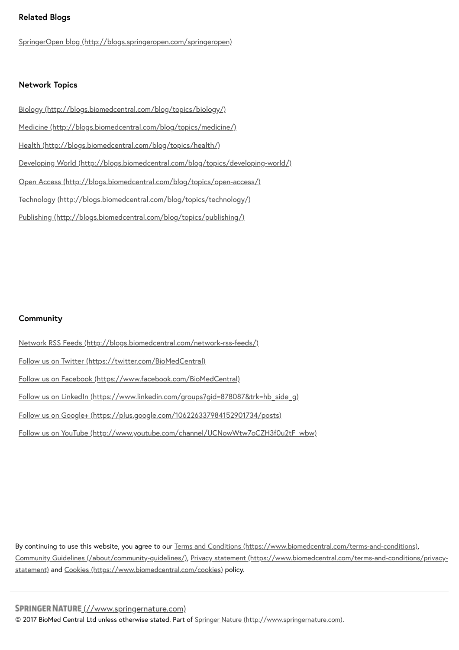#### 2019. 1. 10. Succeeding as a woman in biomedical engineering - BMC Series blog **Related Blogs**

SpringerOpen blog [\(http://blogs.springeropen.com/springeropen\)](http://blogs.springeropen.com/springeropen)

#### **Network Topics**

Biology [\(http://blogs.biomedcentral.com/blog/topics/biology/\)](http://blogs.biomedcentral.com/blog/topics/biology/) Medicine [\(http://blogs.biomedcentral.com/blog/topics/medicine/\)](http://blogs.biomedcentral.com/blog/topics/medicine/) Health [\(http://blogs.biomedcentral.com/blog/topics/health/\)](http://blogs.biomedcentral.com/blog/topics/health/) Developing World [\(http://blogs.biomedcentral.com/blog/topics/developing-world/\)](http://blogs.biomedcentral.com/blog/topics/developing-world/) Open Access [\(http://blogs.biomedcentral.com/blog/topics/open-access/\)](http://blogs.biomedcentral.com/blog/topics/open-access/) Technology [\(http://blogs.biomedcentral.com/blog/topics/technology/\)](http://blogs.biomedcentral.com/blog/topics/technology/) Publishing [\(http://blogs.biomedcentral.com/blog/topics/publishing/\)](http://blogs.biomedcentral.com/blog/topics/publishing/)

#### **Community**

Network RSS Feeds [\(http://blogs.biomedcentral.com/network-rss-feeds/\)](http://blogs.biomedcentral.com/network-rss-feeds/) Follow us on Twitter [\(https://twitter.com/BioMedCentral\)](https://twitter.com/BioMedCentral) Follow us on Facebook [\(https://www.facebook.com/BioMedCentral\)](https://www.facebook.com/BioMedCentral) Follow us on LinkedIn [\(https://www.linkedin.com/groups?gid=878087&trk=hb\\_side\\_g\)](https://www.linkedin.com/groups?gid=878087&trk=hb_side_g) Follow us on Google+ [\(https://plus.google.com/106226337984152901734/posts\)](https://plus.google.com/106226337984152901734/posts) Follow us on YouTube [\(http://www.youtube.com/channel/UCNowWtw7oCZH3f0u2tF\\_wbw\)](http://www.youtube.com/channel/UCNowWtw7oCZH3f0u2tF_wbw)

By continuing to use this website, you agree to our Terms and Conditions [\(https://www.biomedcentral.com/terms-and-conditions\),](https://www.biomedcentral.com/terms-and-conditions) Community Guidelines [\(/about/community-guidelines/\)](http://blogs.biomedcentral.com/about/community-guidelines/), Privacy statement [\(https://www.biomedcentral.com/terms-and-conditions/privacy](https://www.biomedcentral.com/terms-and-conditions/privacy-statement)statement) and Cookies [\(https://www.biomedcentral.com/cookies\)](https://www.biomedcentral.com/cookies) policy.

SPRINGER NATURE [\(//www.springernature.com\)](http://www.springernature.com/) © 2017 BioMed Central Ltd unless otherwise stated. Part of Springer Nature [\(http://www.springernature.com\).](http://www.springernature.com/)